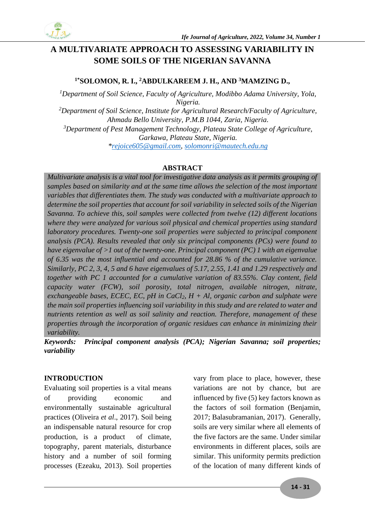

# **A MULTIVARIATE APPROACH TO ASSESSING VARIABILITY IN SOME SOILS OF THE NIGERIAN SAVANNA**

# **1\*SOLOMON, R. I., <sup>2</sup>ABDULKAREEM J. H., AND <sup>3</sup>MAMZING D.,**

*<sup>1</sup>Department of Soil Science, Faculty of Agriculture, Modibbo Adama University, Yola, Nigeria. <sup>2</sup>Department of Soil Science, Institute for Agricultural Research/Faculty of Agriculture, Ahmadu Bello University, P.M.B 1044, Zaria, Nigeria. <sup>3</sup>Department of Pest Management Technology, Plateau State College of Agriculture, Garkawa, Plateau State, Nigeria. [\\*rejoice605@gmail.com,](mailto:rejoice605@gmail.com) [solomonri@mautech.edu.ng](mailto:solomonri@mautech.edu.ng)*

## **ABSTRACT**

*Multivariate analysis is a vital tool for investigative data analysis as it permits grouping of samples based on similarity and at the same time allows the selection of the most important variables that differentiates them. The study was conducted with a multivariate approach to determine the soil properties that account for soil variability in selected soils of the Nigerian Savanna. To achieve this, soil samples were collected from twelve (12) different locations where they were analyzed for various soil physical and chemical properties using standard laboratory procedures. Twenty-one soil properties were subjected to principal component analysis (PCA). Results revealed that only six principal components (PCs) were found to have eigenvalue of >1 out of the twenty-one. Principal component (PC) 1 with an eigenvalue of 6.35 was the most influential and accounted for 28.86 % of the cumulative variance. Similarly, PC 2, 3, 4, 5 and 6 have eigenvalues of 5.17, 2.55, 1.41 and 1.29 respectively and together with PC 1 accounted for a cumulative variation of 83.55%. Clay content, field capacity water (FCW), soil porosity, total nitrogen, available nitrogen, nitrate, exchangeable bases, ECEC, EC, pH in CaCl2, H + Al, organic carbon and sulphate were the main soil properties influencing soil variability in this study and are related to water and nutrients retention as well as soil salinity and reaction. Therefore, management of these properties through the incorporation of organic residues can enhance in minimizing their variability.*

*Keywords: Principal component analysis (PCA); Nigerian Savanna; soil properties; variability*

### **INTRODUCTION**

Evaluating soil properties is a vital means of providing economic and environmentally sustainable agricultural practices (Oliveira *et al*., 2017). Soil being an indispensable natural resource for crop production, is a product of climate, topography, parent materials, disturbance history and a number of soil forming processes (Ezeaku, 2013). Soil properties

vary from place to place, however, these variations are not by chance, but are influenced by five (5) key factors known as the factors of soil formation (Benjamin, 2017; Balasubramanian, 2017). Generally, soils are very similar where all elements of the five factors are the same. Under similar environments in different places, soils are similar. This uniformity permits prediction of the location of many different kinds of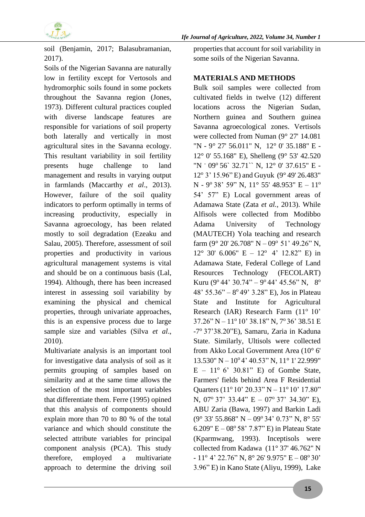

soil (Benjamin, 2017; Balasubramanian, 2017).

Soils of the Nigerian Savanna are naturally low in fertility except for Vertosols and hydromorphic soils found in some pockets throughout the Savanna region (Jones, 1973). Different cultural practices coupled with diverse landscape features are responsible for variations of soil property both laterally and vertically in most agricultural sites in the Savanna ecology. This resultant variability in soil fertility presents huge challenge to land management and results in varying output in farmlands (Maccarthy *et al*., 2013). However, failure of the soil quality indicators to perform optimally in terms of increasing productivity, especially in Savanna agroecology, has been related mostly to soil degradation (Ezeaku and Salau, 2005). Therefore, assessment of soil properties and productivity in various agricultural management systems is vital and should be on a continuous basis (Lal, 1994). Although, there has been increased interest in assessing soil variability by examining the physical and chemical properties, through univariate approaches, this is an expensive process due to large sample size and variables (Silva *et al*., 2010).

Multivariate analysis is an important tool for investigative data analysis of soil as it permits grouping of samples based on similarity and at the same time allows the selection of the most important variables that differentiate them. Ferre (1995) opined that this analysis of components should explain more than 70 to 80 % of the total variance and which should constitute the selected attribute variables for principal component analysis (PCA). This study therefore, employed a multivariate approach to determine the driving soil

properties that account for soil variability in some soils of the Nigerian Savanna.

### **MATERIALS AND METHODS**

Bulk soil samples were collected from cultivated fields in twelve (12) different locations across the Nigerian Sudan, Northern guinea and Southern guinea Savanna agroecological zones. Vertisols were collected from Numan (9° 27' 14.081 "N - 9° 27' 56.011" N, 12° 0' 35.188" E - 12° 0' 55.168" E), Shelleng (9° 53' 42.520 "N - 09º 56` 32.71`` N, 12° 0' 37.615" E -12° 3' 15.96" E) and Guyuk (9° 49' 26.483"  $N - 9^{\circ} 38' 59'' N$ ,  $11^{\circ} 55' 48.953'' E - 11^{\circ}$ 54' 57" E) Local government areas of Adamawa State (Zata *et al.*, 2013). While Alfisols were collected from Modibbo Adama University of Technology (MAUTECH) Yola teaching and research farm  $(9^{\circ} 20' 26.708'' N - 09^{\circ} 51' 49.26'' N$ ,  $12^{\circ}$  30' 6.006" E –  $12^{\circ}$  4' 12.82" E) in Adamawa State, Federal College of Land Resources Technology (FECOLART) Kuru (9<sup>o</sup> 44' 30.74" – 9<sup>o</sup> 44' 45.56" N, 8<sup>o</sup> 48' 55.36" – 8 o 49' 3.28" E), Jos in Plateau State and Institute for Agricultural Research (IAR) Research Farm  $(11^{\circ}10^{\circ}$  $37.26" N - 11°10' 38.18" N, 7°36' 38.51 E$ -7° 37'38.20"E), Samaru, Zaria in Kaduna State. Similarly, Ultisols were collected from Akko Local Government Area (10° 6' 13.530" N - 10° 4' 40.53" N, 11° 1' 22.999"  $E - 11^{\circ}$  6' 30.81" E) of Gombe State, Farmers' fields behind Area F Residential Quarters (11<sup>o</sup> 10' 20.33" N – 11<sup>o</sup> 10' 17.80" N,  $07^{\circ}$  37' 33.44" E –  $07^{\circ}$  37' 34.30" E), ABU Zaria (Bawa, 1997) and Barkin Ladi  $(9^{\circ}$  33' 55.868" N - 09° 34' 0.73" N, 8° 55' 6.209"  $E - 08^{\circ} 58' 7.87" E$  in Plateau State (Kparmwang, 1993). Inceptisols were collected from Kadawa (11° 37' 46.762" N  $-11^{\circ}$  4' 22.76" N,  $8^{\circ}$  26' 9.975" E – 08° 30' 3.96" E) in Kano State (Aliyu, 1999), Lake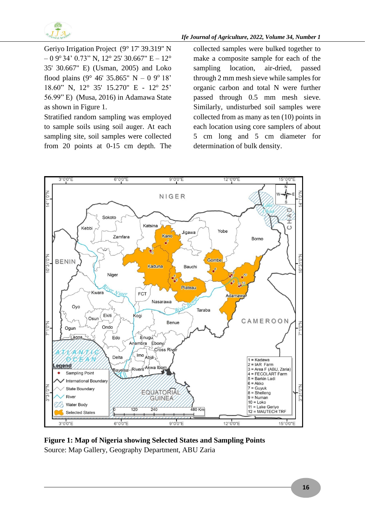

Geriyo Irrigation Project (9° 17' 39.319" N  $-0.9^{\circ}$  34' 0.73" N, 12° 25' 30.667" E  $-12^{\circ}$ 35' 30.667" E) (Usman, 2005) and Loko flood plains (9° 46' 35.865" N – 0 9° 18' 18.60" N, 12° 35' 15.270" E - 12° 25' 56.99" E) (Musa, 2016) in Adamawa State as shown in Figure 1.

Stratified random sampling was employed to sample soils using soil auger. At each sampling site, soil samples were collected from 20 points at 0-15 cm depth. The collected samples were bulked together to make a composite sample for each of the sampling location, air-dried, passed through 2 mm mesh sieve while samples for organic carbon and total N were further passed through 0.5 mm mesh sieve. Similarly, undisturbed soil samples were collected from as many as ten (10) points in each location using core samplers of about 5 cm long and 5 cm diameter for determination of bulk density.



**Figure 1: Map of Nigeria showing Selected States and Sampling Points** Source: Map Gallery, Geography Department, ABU Zaria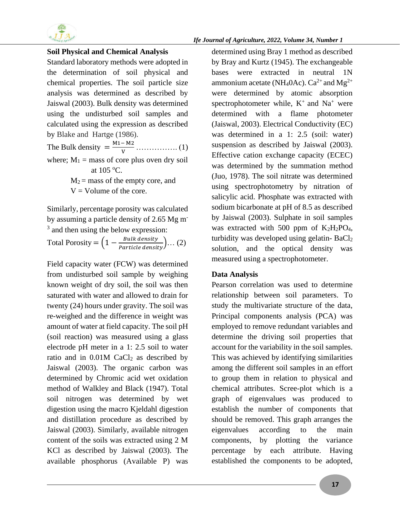

### **Soil Physical and Chemical Analysis**

Standard laboratory methods were adopted in the determination of soil physical and chemical properties. The soil particle size analysis was determined as described by Jaiswal (2003). Bulk density was determined using the undisturbed soil samples and calculated using the expression as described by Blake and Hartge (1986).

The Bulk density  $= \frac{M_1 - M_2}{V}$  … … … (1) where;  $M_1$  = mass of core plus oven dry soil at 105 <sup>o</sup>C.

> $M_2$  = mass of the empty core, and  $V =$  Volume of the core.

Similarly, percentage porosity was calculated by assuming a particle density of 2.65 Mg m-<sup>3</sup> and then using the below expression:

Total Porosity =  $\left(1 - \frac{Bulk \ density}{Particle \ density}\right) \dots (2)$ 

Field capacity water (FCW) was determined from undisturbed soil sample by weighing known weight of dry soil, the soil was then saturated with water and allowed to drain for twenty (24) hours under gravity. The soil was re-weighed and the difference in weight was amount of water at field capacity. The soil pH (soil reaction) was measured using a glass electrode pH meter in a 1: 2.5 soil to water ratio and in  $0.01M$  CaCl<sub>2</sub> as described by Jaiswal (2003). The organic carbon was determined by Chromic acid wet oxidation method of Walkley and Black (1947). Total soil nitrogen was determined by wet digestion using the macro Kjeldahl digestion and distillation procedure as described by Jaiswal (2003). Similarly, available nitrogen content of the soils was extracted using 2 M KCl as described by Jaiswal (2003). The available phosphorus (Available P) was

determined using Bray 1 method as described by Bray and Kurtz (1945). The exchangeable bases were extracted in neutral 1N ammonium acetate (NH<sub>4</sub>OAc).  $Ca^{2+}$  and  $Mg^{2+}$ were determined by atomic absorption spectrophotometer while,  $K^+$  and  $Na^+$  were determined with a flame photometer (Jaiswal, 2003). Electrical Conductivity (EC) was determined in a 1: 2.5 (soil: water) suspension as described by Jaiswal (2003). Effective cation exchange capacity (ECEC) was determined by the summation method (Juo, 1978). The soil nitrate was determined using spectrophotometry by nitration of salicylic acid. Phosphate was extracted with sodium bicarbonate at pH of 8.5 as described by Jaiswal (2003). Sulphate in soil samples was extracted with 500 ppm of  $K_2H_2PO_4$ , turbidity was developed using gelatin- $BaCl<sub>2</sub>$ solution, and the optical density was measured using a spectrophotometer.

### **Data Analysis**

Pearson correlation was used to determine relationship between soil parameters. To study the multivariate structure of the data, Principal components analysis (PCA) was employed to remove redundant variables and determine the driving soil properties that account for the variability in the soil samples. This was achieved by identifying similarities among the different soil samples in an effort to group them in relation to physical and chemical attributes. Scree-plot which is a graph of eigenvalues was produced to establish the number of components that should be removed. This graph arranges the eigenvalues according to the main components, by plotting the variance percentage by each attribute. Having established the components to be adopted,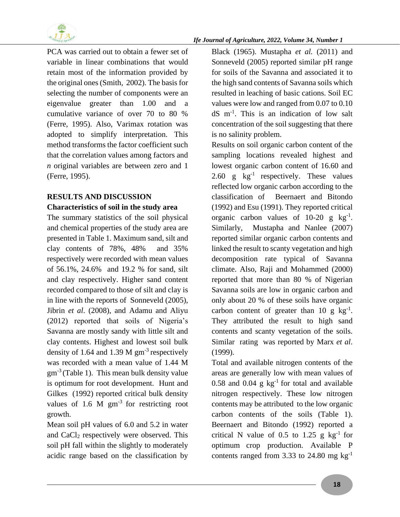

PCA was carried out to obtain a fewer set of variable in linear combinations that would retain most of the information provided by the original ones(Smith, 2002). The basis for selecting the number of components were an eigenvalue greater than 1.00 and a cumulative variance of over 70 to 80 % (Ferre, 1995). Also, Varimax rotation was adopted to simplify interpretation. This method transforms the factor coefficient such that the correlation values among factors and *n* original variables are between zero and 1 (Ferre, 1995).

# **RESULTS AND DISCUSSION Characteristics of soil in the study area**

The summary statistics of the soil physical and chemical properties of the study area are presented in Table 1. Maximum sand, silt and clay contents of 78%, 48% and 35% respectively were recorded with mean values of 56.1%, 24.6% and 19.2 % for sand, silt and clay respectively. Higher sand content recorded compared to those of silt and clay is in line with the reports of Sonneveld (2005), Jibrin *et al*. (2008), and Adamu and Aliyu (2012) reported that soils of Nigeria's Savanna are mostly sandy with little silt and clay contents. Highest and lowest soil bulk density of 1.64 and 1.39 M  $\text{gm}^3$  respectively was recorded with a mean value of 1.44 M  $gm<sup>-3</sup>$  (Table 1). This mean bulk density value is optimum for root development. Hunt and Gilkes (1992) reported critical bulk density values of 1.6 M gm<sup>-3</sup> for restricting root growth.

Mean soil pH values of 6.0 and 5.2 in water and CaCl<sub>2</sub> respectively were observed. This soil pH fall within the slightly to moderately acidic range based on the classification by

Black (1965). Mustapha *et al.* (2011) and Sonneveld (2005) reported similar pH range for soils of the Savanna and associated it to the high sand contents of Savanna soils which resulted in leaching of basic cations. Soil EC values were low and ranged from 0.07 to 0.10 dS m-1 . This is an indication of low salt concentration of the soil suggesting that there is no salinity problem.

Results on soil organic carbon content of the sampling locations revealed highest and lowest organic carbon content of 16.60 and 2.60 g  $\text{kg}^{-1}$  respectively. These values reflected low organic carbon according to the classification of Beernaert and Bitondo (1992) and Esu (1991). They reported critical organic carbon values of  $10-20$  g  $\text{kg}^{-1}$ . Similarly, Mustapha and Nanlee (2007) reported similar organic carbon contents and linked the result to scanty vegetation and high decomposition rate typical of Savanna climate. Also, Raji and Mohammed (2000) reported that more than 80 % of Nigerian Savanna soils are low in organic carbon and only about 20 % of these soils have organic carbon content of greater than 10 g  $\text{kg}^{-1}$ . They attributed the result to high sand contents and scanty vegetation of the soils. Similar rating was reported by Marx *et al*. (1999).

Total and available nitrogen contents of the areas are generally low with mean values of 0.58 and 0.04 g  $kg^{-1}$  for total and available nitrogen respectively. These low nitrogen contents may be attributed to the low organic carbon contents of the soils (Table 1). Beernaert and Bitondo (1992) reported a critical N value of 0.5 to 1.25 g  $kg^{-1}$  for optimum crop production. Available P contents ranged from 3.33 to 24.80 mg  $kg^{-1}$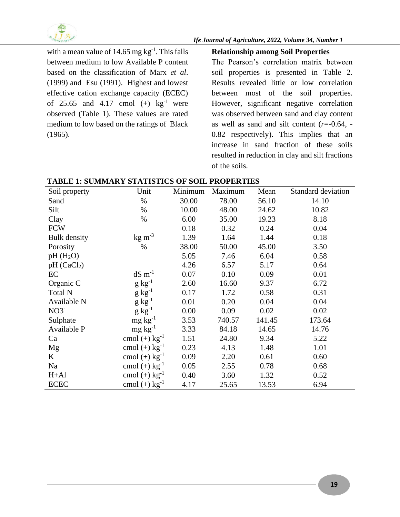

with a mean value of  $14.65$  mg kg<sup>-1</sup>. This falls between medium to low Available P content based on the classification of Marx *et al*. (1999) and Esu (1991). Highest and lowest effective cation exchange capacity (ECEC) of 25.65 and 4.17 cmol  $(+)$  kg<sup>-1</sup> were observed (Table 1). These values are rated medium to low based on the ratings of Black (1965).

### **Relationship among Soil Properties**

The Pearson's correlation matrix between soil properties is presented in Table 2. Results revealed little or low correlation between most of the soil properties. However, significant negative correlation was observed between sand and clay content as well as sand and silt content (*r*=-0.64, - 0.82 respectively). This implies that an increase in sand fraction of these soils resulted in reduction in clay and silt fractions of the soils.

**TABLE 1: SUMMARY STATISTICS OF SOIL PROPERTIES**

| Soil property           | Unit                        | Minimum | Maximum | Mean   | Standard deviation |
|-------------------------|-----------------------------|---------|---------|--------|--------------------|
| Sand                    | $\%$                        | 30.00   | 78.00   | 56.10  | 14.10              |
| Silt                    | $\%$                        | 10.00   | 48.00   | 24.62  | 10.82              |
| Clay                    | $\%$                        | 6.00    | 35.00   | 19.23  | 8.18               |
| <b>FCW</b>              |                             | 0.18    | 0.32    | 0.24   | 0.04               |
| <b>Bulk</b> density     | $\text{kg m}^{-3}$          | 1.39    | 1.64    | 1.44   | 0.18               |
| Porosity                | $\%$                        | 38.00   | 50.00   | 45.00  | 3.50               |
| $pH(H_2O)$              |                             | 5.05    | 7.46    | 6.04   | 0.58               |
| pH (CaCl <sub>2</sub> ) |                             | 4.26    | 6.57    | 5.17   | 0.64               |
| EC                      | $dS \, \text{m}^{-1}$       | 0.07    | 0.10    | 0.09   | 0.01               |
| Organic C               | $g kg^{-1}$                 | 2.60    | 16.60   | 9.37   | 6.72               |
| Total N                 | $g kg^{-1}$                 | 0.17    | 1.72    | 0.58   | 0.31               |
| Available N             | $g kg^{-1}$                 | 0.01    | 0.20    | 0.04   | 0.04               |
| $NO3^-$                 | $g kg^{-1}$                 | 0.00    | 0.09    | 0.02   | 0.02               |
| Sulphate                | $mg \, kg^{-1}$             | 3.53    | 740.57  | 141.45 | 173.64             |
| Available P             | $mg \, kg^{-1}$             | 3.33    | 84.18   | 14.65  | 14.76              |
| Ca                      | cmol $(+)$ kg <sup>-1</sup> | 1.51    | 24.80   | 9.34   | 5.22               |
| Mg                      | cmol $(+)$ kg <sup>-1</sup> | 0.23    | 4.13    | 1.48   | 1.01               |
| K                       | cmol $(+)$ kg <sup>-1</sup> | 0.09    | 2.20    | 0.61   | 0.60               |
| Na                      | cmol $(+)$ kg <sup>-1</sup> | 0.05    | 2.55    | 0.78   | 0.68               |
| $H+A1$                  | cmol $(+)$ kg <sup>-1</sup> | 0.40    | 3.60    | 1.32   | 0.52               |
| <b>ECEC</b>             | cmol $(+)$ kg <sup>-1</sup> | 4.17    | 25.65   | 13.53  | 6.94               |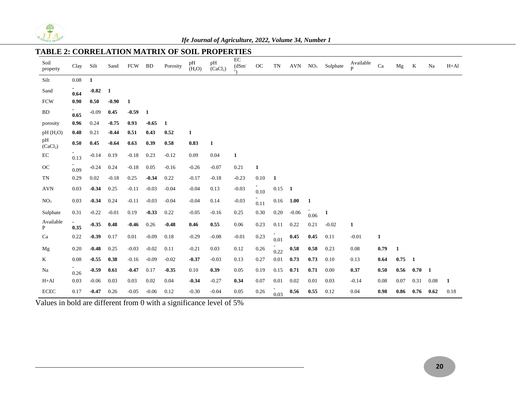

# **TABLE 2: CORRELATION MATRIX OF SOIL PROPERTIES**

| Soil<br>property           | Clay     | Silt         | Sand    | <b>FCW</b> | <b>BD</b>    | Porosity     | pН<br>(H <sub>2</sub> O) | pН<br>(CaCl <sub>2</sub> ) | EC<br>$(dSm-)$<br>$1\lambda$ | OC   | TN             | AVN         | NO <sub>3</sub> | Sulphate     | Available<br>$\mathbf{p}$ | Ca   | Mg   | K              | Na           | $H+A1$ |
|----------------------------|----------|--------------|---------|------------|--------------|--------------|--------------------------|----------------------------|------------------------------|------|----------------|-------------|-----------------|--------------|---------------------------|------|------|----------------|--------------|--------|
| Silt                       | $0.08\,$ | $\mathbf{1}$ |         |            |              |              |                          |                            |                              |      |                |             |                 |              |                           |      |      |                |              |        |
| Sand                       | 0.64     | $-0.82$      | 1       |            |              |              |                          |                            |                              |      |                |             |                 |              |                           |      |      |                |              |        |
| <b>FCW</b>                 | 0.90     | 0.50         | $-0.90$ | 1          |              |              |                          |                            |                              |      |                |             |                 |              |                           |      |      |                |              |        |
| <b>BD</b>                  | 0.65     | $-0.09$      | 0.45    | $-0.59$    | $\mathbf{1}$ |              |                          |                            |                              |      |                |             |                 |              |                           |      |      |                |              |        |
| porosity                   | 0.96     | 0.24         | $-0.75$ | 0.93       | $-0.65$      | $\mathbf{1}$ |                          |                            |                              |      |                |             |                 |              |                           |      |      |                |              |        |
| $pH(H_2O)$                 | 0.48     | 0.21         | $-0.44$ | 0.51       | 0.43         | 0.52         | 1                        |                            |                              |      |                |             |                 |              |                           |      |      |                |              |        |
| pH<br>(CaCl <sub>2</sub> ) | 0.50     | 0.45         | $-0.64$ | 0.63       | 0.39         | 0.58         | 0.83                     | $\mathbf{1}$               |                              |      |                |             |                 |              |                           |      |      |                |              |        |
| $\operatorname{EC}$        | 0.13     | $-0.14$      | 0.19    | $-0.18$    | 0.23         | $-0.12$      | 0.09                     | 0.04                       | $\mathbf{1}$                 |      |                |             |                 |              |                           |      |      |                |              |        |
| OC                         | 0.09     | $-0.24$      | 0.24    | $-0.18$    | 0.05         | $-0.16$      | $-0.26$                  | $-0.07$                    | 0.21                         | 1    |                |             |                 |              |                           |      |      |                |              |        |
| TN                         | 0.29     | 0.02         | $-0.18$ | 0.25       | $-0.34$      | 0.22         | $-0.17$                  | $-0.18$                    | $-0.23$                      | 0.10 | 1              |             |                 |              |                           |      |      |                |              |        |
| <b>AVN</b>                 | 0.03     | $-0.34$      | 0.25    | $-0.11$    | $-0.03$      | $-0.04$      | $-0.04$                  | 0.13                       | $-0.03$                      | 0.10 | $0.15 \quad 1$ |             |                 |              |                           |      |      |                |              |        |
| NO <sub>3</sub>            | 0.03     | $-0.34$      | 0.24    | $-0.11$    | $-0.03$      | $-0.04$      | $-0.04$                  | 0.14                       | $-0.03$                      | 0.11 |                | $0.16$ 1.00 | 1               |              |                           |      |      |                |              |        |
| Sulphate                   | 0.31     | $-0.22$      | $-0.01$ | 0.19       | $-0.33$      | 0.22         | $-0.05$                  | $-0.16$                    | 0.25                         | 0.30 | 0.20           | $-0.06$     | 0.06            | $\mathbf{1}$ |                           |      |      |                |              |        |
| Available<br>P             | 0.35     | $-0.35$      | 0.48    | $-0.46$    | 0.26         | $-0.48$      | 0.46                     | 0.55                       | 0.06                         | 0.23 | 0.11           | 0.22        | 0.21            | $-0.02$      | 1                         |      |      |                |              |        |
| Ca                         | 0.22     | $-0.39$      | 0.17    | 0.01       | $-0.09$      | 0.18         | $-0.29$                  | $-0.08$                    | $-0.01$                      | 0.23 | 0.01           | 0.45        | 0.45            | 0.11         | $-0.01$                   | 1    |      |                |              |        |
| Mg                         | 0.20     | $-0.48$      | 0.25    | $-0.03$    | $-0.02$      | 0.11         | $-0.21$                  | 0.03                       | 0.12                         | 0.26 | 0.22           | 0.58        | 0.58            | 0.23         | 0.08                      | 0.79 | 1    |                |              |        |
| K                          | 0.08     | $-0.55$      | 0.38    | $-0.16$    | $-0.09$      | $-0.02$      | $-0.37$                  | $-0.03$                    | 0.13                         | 0.27 | 0.01           | 0.73        | 0.73            | 0.10         | 0.13                      | 0.64 | 0.75 | $\blacksquare$ |              |        |
| Na                         | 0.26     | $-0.59$      | 0.61    | $-0.47$    | 0.17         | $-0.35$      | 0.10                     | 0.39                       | 0.05                         | 0.19 | 0.15           | 0.71        | 0.71            | 0.00         | 0.37                      | 0.50 | 0.56 | 0.70           | $\mathbf{1}$ |        |
| $H+A1$                     | 0.03     | $-0.06$      | 0.03    | 0.03       | 0.02         | 0.04         | $-0.34$                  | $-0.27$                    | 0.34                         | 0.07 | 0.01           | 0.02        | 0.01            | 0.03         | $-0.14$                   | 0.08 | 0.07 | 0.31           | 0.08         | 1      |
| <b>ECEC</b>                | 0.17     | $-0.47$      | 0.26    | $-0.05$    | $-0.06$      | 0.12         | $-0.30$                  | $-0.04$                    | 0.05                         | 0.26 | 0.03           | 0.56        | 0.55            | 0.12         | 0.04                      | 0.98 | 0.86 | 0.76           | 0.62         | 0.18   |

Values in bold are different from 0 with a significance level of 5%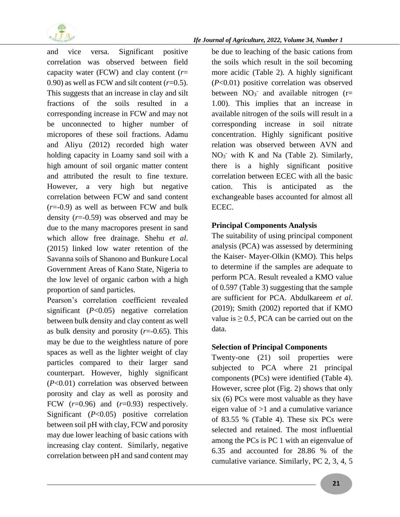

and vice versa. Significant positive correlation was observed between field capacity water (FCW) and clay content (*r*= 0.90) as well as FCW and silt content  $(r=0.5)$ . This suggests that an increase in clay and silt fractions of the soils resulted in a corresponding increase in FCW and may not be unconnected to higher number of micropores of these soil fractions. Adamu and Aliyu (2012) recorded high water holding capacity in Loamy sand soil with a high amount of soil organic matter content and attributed the result to fine texture. However, a very high but negative correlation between FCW and sand content (*r*=-0.9) as well as between FCW and bulk density (*r*=-0.59) was observed and may be due to the many macropores present in sand which allow free drainage. Shehu *et al*. (2015) linked low water retention of the Savanna soils of Shanono and Bunkure Local Government Areas of Kano State, Nigeria to the low level of organic carbon with a high proportion of sand particles.

Pearson's correlation coefficient revealed significant (*P*<0.05) negative correlation between bulk density and clay content as well as bulk density and porosity (*r*=-0.65). This may be due to the weightless nature of pore spaces as well as the lighter weight of clay particles compared to their larger sand counterpart. However, highly significant (*P*<0.01) correlation was observed between porosity and clay as well as porosity and FCW  $(r=0.96)$  and  $(r=0.93)$  respectively. Significant (*P*<0.05) positive correlation between soil pH with clay, FCW and porosity may due lower leaching of basic cations with increasing clay content. Similarly, negative correlation between pH and sand content may

be due to leaching of the basic cations from the soils which result in the soil becoming more acidic (Table 2). A highly significant (*P*<0.01) positive correlation was observed between  $NO_3$ <sup>-</sup> and available nitrogen (r= 1.00). This implies that an increase in available nitrogen of the soils will result in a corresponding increase in soil nitrate concentration. Highly significant positive relation was observed between AVN and  $NO<sub>3</sub>$  with K and Na (Table 2). Similarly, there is a highly significant positive correlation between ECEC with all the basic cation. This is anticipated as the exchangeable bases accounted for almost all ECEC.

## **Principal Components Analysis**

The suitability of using principal component analysis (PCA) was assessed by determining the Kaiser- Mayer-Olkin (KMO). This helps to determine if the samples are adequate to perform PCA. Result revealed a KMO value of 0.597 (Table 3) suggesting that the sample are sufficient for PCA. Abdulkareem *et al*. (2019); Smith (2002) reported that if KMO value is  $\geq 0.5$ , PCA can be carried out on the data.

### **Selection of Principal Components**

Twenty-one (21) soil properties were subjected to PCA where 21 principal components (PCs) were identified (Table 4). However, scree plot (Fig. 2) shows that only six (6) PCs were most valuable as they have eigen value of >1 and a cumulative variance of 83.55 % (Table 4). These six PCs were selected and retained. The most influential among the PCs is PC 1 with an eigenvalue of 6.35 and accounted for 28.86 % of the cumulative variance. Similarly, PC 2, 3, 4, 5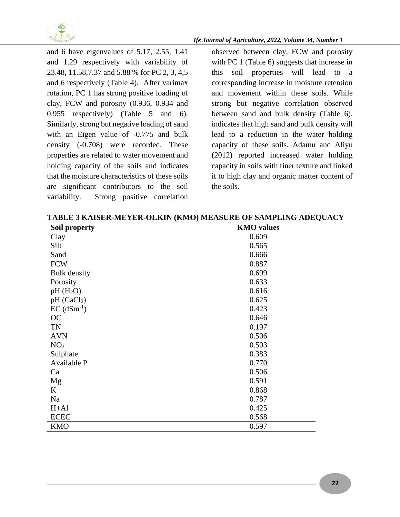

and 6 have eigenvalues of 5.17, 2.55, 1.41 and 1.29 respectively with variability of 23.48, 11.58,7.37 and 5.88 % for PC 2, 3, 4,5 and 6 respectively (Table 4). After varimax rotation, PC 1 has strong positive loading of clay, FCW and porosity (0.936, 0.934 and 0.955 respectively) (Table 5 and 6). Similarly, strong but negative loading of sand with an Eigen value of -0.775 and bulk density (-0.708) were recorded. These properties are related to water movement and holding capacity of the soils and indicates that the moisture characteristics of these soils are significant contributors to the soil variability. Strong positive correlation

observed between clay, FCW and porosity with PC 1 (Table 6) suggests that increase in this soil properties will lead to a corresponding increase in moisture retention and movement within these soils. While strong but negative correlation observed between sand and bulk density (Table 6), indicates that high sand and bulk density will lead to a reduction in the water holding capacity of these soils. Adamu and Aliyu (2012) reported increased water holding capacity in soils with finer texture and linked it to high clay and organic matter content of the soils.

**TABLE 3 KAISER-MEYER-OLKIN (KMO) MEASURE OF SAMPLING ADEQUACY**

| Soil property             | <b>KMO</b> values |
|---------------------------|-------------------|
| Clay                      | 0.609             |
| Silt                      | 0.565             |
| Sand                      | 0.666             |
| <b>FCW</b>                | 0.887             |
| <b>Bulk</b> density       | 0.699             |
| Porosity                  | 0.633             |
| pH(H <sub>2</sub> O)      | 0.616             |
| pH (CaCl <sub>2</sub> )   | 0.625             |
| $EC$ (dSm <sup>-1</sup> ) | 0.423             |
| <b>OC</b>                 | 0.646             |
| TN                        | 0.197             |
| <b>AVN</b>                | 0.506             |
| NO <sub>3</sub>           | 0.503             |
| Sulphate                  | 0.383             |
| Available P               | 0.770             |
| Ca                        | 0.506             |
| Mg                        | 0.591             |
| K                         | 0.868             |
| Na                        | 0.787             |
| $H+A1$                    | 0.425             |
| <b>ECEC</b>               | 0.568             |
| <b>KMO</b>                | 0.597             |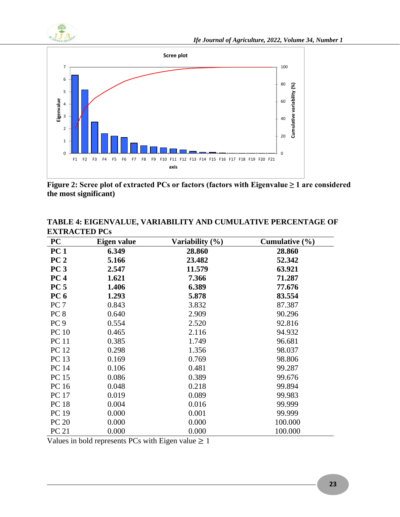



**Figure 2: Scree plot of extracted PCs or factors (factors with Eigenvalue ≥ 1 are considered the most significant)**

| <b>PC</b>       | Eigen value | Variability (%) | Cumulative $(\frac{6}{6})$ |
|-----------------|-------------|-----------------|----------------------------|
| PC <sub>1</sub> | 6.349       | 28.860          | 28.860                     |
| PC <sub>2</sub> | 5.166       | 23.482          | 52.342                     |
| PC <sub>3</sub> | 2.547       | 11.579          | 63.921                     |
| PC <sub>4</sub> | 1.621       | 7.366           | 71.287                     |
| PC <sub>5</sub> | 1.406       | 6.389           | 77.676                     |
| PC <sub>6</sub> | 1.293       | 5.878           | 83.554                     |
| PC <sub>7</sub> | 0.843       | 3.832           | 87.387                     |
| PC <sub>8</sub> | 0.640       | 2.909           | 90.296                     |
| PC <sub>9</sub> | 0.554       | 2.520           | 92.816                     |
| <b>PC</b> 10    | 0.465       | 2.116           | 94.932                     |
| <b>PC</b> 11    | 0.385       | 1.749           | 96.681                     |
| <b>PC</b> 12    | 0.298       | 1.356           | 98.037                     |
| PC 13           | 0.169       | 0.769           | 98.806                     |
| <b>PC 14</b>    | 0.106       | 0.481           | 99.287                     |
| <b>PC 15</b>    | 0.086       | 0.389           | 99.676                     |
| PC 16           | 0.048       | 0.218           | 99.894                     |
| <b>PC</b> 17    | 0.019       | 0.089           | 99.983                     |
| <b>PC 18</b>    | 0.004       | 0.016           | 99.999                     |
| PC 19           | 0.000       | 0.001           | 99.999                     |
| <b>PC 20</b>    | 0.000       | 0.000           | 100.000                    |
| PC 21           | 0.000       | 0.000           | 100.000                    |

**TABLE 4: EIGENVALUE, VARIABILITY AND CUMULATIVE PERCENTAGE OF EXTRACTED PCs**

Values in bold represents PCs with Eigen value  $\geq 1$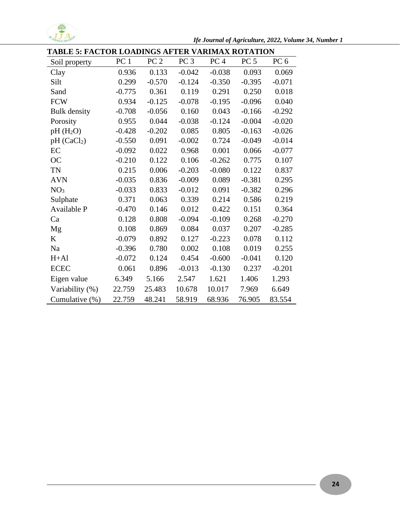

*Ife Journal of Agriculture, 2022, Volume 34, Number 1*

| <b>TABLE 5: FACTOR LOADINGS AFTER VARIMAX ROTATION</b> |                 |                 |                 |                 |                 |                 |  |  |  |  |
|--------------------------------------------------------|-----------------|-----------------|-----------------|-----------------|-----------------|-----------------|--|--|--|--|
| Soil property                                          | PC <sub>1</sub> | PC <sub>2</sub> | PC <sub>3</sub> | PC <sub>4</sub> | PC <sub>5</sub> | PC <sub>6</sub> |  |  |  |  |
| Clay                                                   | 0.936           | 0.133           | $-0.042$        | $-0.038$        | 0.093           | 0.069           |  |  |  |  |
| Silt                                                   | 0.299           | $-0.570$        | $-0.124$        | $-0.350$        | $-0.395$        | $-0.071$        |  |  |  |  |
| Sand                                                   | $-0.775$        | 0.361           | 0.119           | 0.291           | 0.250           | 0.018           |  |  |  |  |
| <b>FCW</b>                                             | 0.934           | $-0.125$        | $-0.078$        | $-0.195$        | $-0.096$        | 0.040           |  |  |  |  |
| <b>Bulk</b> density                                    | $-0.708$        | $-0.056$        | 0.160           | 0.043           | $-0.166$        | $-0.292$        |  |  |  |  |
| Porosity                                               | 0.955           | 0.044           | $-0.038$        | $-0.124$        | $-0.004$        | $-0.020$        |  |  |  |  |
| $pH(H_2O)$                                             | $-0.428$        | $-0.202$        | 0.085           | 0.805           | $-0.163$        | $-0.026$        |  |  |  |  |
| pH (CaCl <sub>2</sub> )                                | $-0.550$        | 0.091           | $-0.002$        | 0.724           | $-0.049$        | $-0.014$        |  |  |  |  |
| EC                                                     | $-0.092$        | 0.022           | 0.968           | 0.001           | 0.066           | $-0.077$        |  |  |  |  |
| <b>OC</b>                                              | $-0.210$        | 0.122           | 0.106           | $-0.262$        | 0.775           | 0.107           |  |  |  |  |
| <b>TN</b>                                              | 0.215           | 0.006           | $-0.203$        | $-0.080$        | 0.122           | 0.837           |  |  |  |  |
| <b>AVN</b>                                             | $-0.035$        | 0.836           | $-0.009$        | 0.089           | $-0.381$        | 0.295           |  |  |  |  |
| NO <sub>3</sub>                                        | $-0.033$        | 0.833           | $-0.012$        | 0.091           | $-0.382$        | 0.296           |  |  |  |  |
| Sulphate                                               | 0.371           | 0.063           | 0.339           | 0.214           | 0.586           | 0.219           |  |  |  |  |
| Available P                                            | $-0.470$        | 0.146           | 0.012           | 0.422           | 0.151           | 0.364           |  |  |  |  |
| Ca                                                     | 0.128           | 0.808           | $-0.094$        | $-0.109$        | 0.268           | $-0.270$        |  |  |  |  |
| Mg                                                     | 0.108           | 0.869           | 0.084           | 0.037           | 0.207           | $-0.285$        |  |  |  |  |
| K                                                      | $-0.079$        | 0.892           | 0.127           | $-0.223$        | 0.078           | 0.112           |  |  |  |  |
| Na                                                     | $-0.396$        | 0.780           | 0.002           | 0.108           | 0.019           | 0.255           |  |  |  |  |
| $H+A1$                                                 | $-0.072$        | 0.124           | 0.454           | $-0.600$        | $-0.041$        | 0.120           |  |  |  |  |
| <b>ECEC</b>                                            | 0.061           | 0.896           | $-0.013$        | $-0.130$        | 0.237           | $-0.201$        |  |  |  |  |
| Eigen value                                            | 6.349           | 5.166           | 2.547           | 1.621           | 1.406           | 1.293           |  |  |  |  |
| Variability (%)                                        | 22.759          | 25.483          | 10.678          | 10.017          | 7.969           | 6.649           |  |  |  |  |
| Cumulative (%)                                         | 22.759          | 48.241          | 58.919          | 68.936          | 76.905          | 83.554          |  |  |  |  |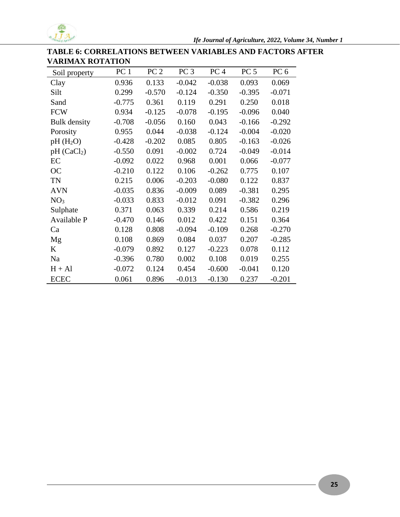

# **TABLE 6: CORRELATIONS BETWEEN VARIABLES AND FACTORS AFTER VARIMAX ROTATION**

| Soil property           | PC <sub>1</sub> | PC <sub>2</sub> | PC <sub>3</sub> | PC <sub>4</sub> | PC <sub>5</sub> | PC <sub>6</sub> |
|-------------------------|-----------------|-----------------|-----------------|-----------------|-----------------|-----------------|
| Clay                    | 0.936           | 0.133           | $-0.042$        | $-0.038$        | 0.093           | 0.069           |
| Silt                    | 0.299           | $-0.570$        | $-0.124$        | $-0.350$        | $-0.395$        | $-0.071$        |
| Sand                    | $-0.775$        | 0.361           | 0.119           | 0.291           | 0.250           | 0.018           |
| <b>FCW</b>              | 0.934           | $-0.125$        | $-0.078$        | $-0.195$        | $-0.096$        | 0.040           |
| <b>Bulk</b> density     | $-0.708$        | $-0.056$        | 0.160           | 0.043           | $-0.166$        | $-0.292$        |
| Porosity                | 0.955           | 0.044           | $-0.038$        | $-0.124$        | $-0.004$        | $-0.020$        |
| $pH(H_2O)$              | $-0.428$        | $-0.202$        | 0.085           | 0.805           | $-0.163$        | $-0.026$        |
| pH (CaCl <sub>2</sub> ) | $-0.550$        | 0.091           | $-0.002$        | 0.724           | $-0.049$        | $-0.014$        |
| EC                      | $-0.092$        | 0.022           | 0.968           | 0.001           | 0.066           | $-0.077$        |
| <b>OC</b>               | $-0.210$        | 0.122           | 0.106           | $-0.262$        | 0.775           | 0.107           |
| <b>TN</b>               | 0.215           | 0.006           | $-0.203$        | $-0.080$        | 0.122           | 0.837           |
| <b>AVN</b>              | $-0.035$        | 0.836           | $-0.009$        | 0.089           | $-0.381$        | 0.295           |
| NO <sub>3</sub>         | $-0.033$        | 0.833           | $-0.012$        | 0.091           | $-0.382$        | 0.296           |
| Sulphate                | 0.371           | 0.063           | 0.339           | 0.214           | 0.586           | 0.219           |
| Available P             | $-0.470$        | 0.146           | 0.012           | 0.422           | 0.151           | 0.364           |
| Ca                      | 0.128           | 0.808           | $-0.094$        | $-0.109$        | 0.268           | $-0.270$        |
| Mg                      | 0.108           | 0.869           | 0.084           | 0.037           | 0.207           | $-0.285$        |
| K                       | $-0.079$        | 0.892           | 0.127           | $-0.223$        | 0.078           | 0.112           |
| Na                      | $-0.396$        | 0.780           | 0.002           | 0.108           | 0.019           | 0.255           |
| $H + Al$                | $-0.072$        | 0.124           | 0.454           | $-0.600$        | $-0.041$        | 0.120           |
| <b>ECEC</b>             | 0.061           | 0.896           | $-0.013$        | $-0.130$        | 0.237           | $-0.201$        |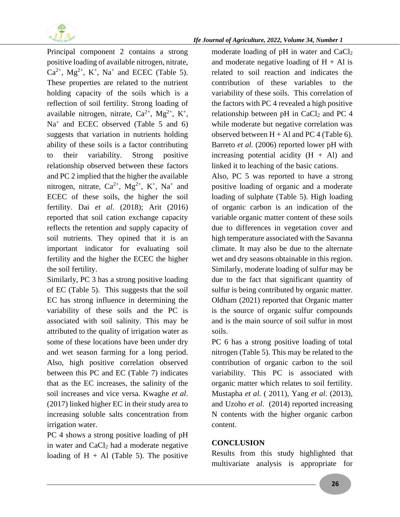

Principal component 2 contains a strong positive loading of available nitrogen, nitrate,  $Ca^{2+}$ ,  $Mg^{2+}$ ,  $K^+$ ,  $Na^+$  and ECEC (Table 5). These properties are related to the nutrient holding capacity of the soils which is a reflection of soil fertility. Strong loading of available nitrogen, nitrate,  $Ca^{2+}$ ,  $Mg^{2+}$ ,  $K^+$ , Na<sup>+</sup> and ECEC observed (Table 5 and 6) suggests that variation in nutrients holding ability of these soils is a factor contributing to their variability. Strong positive relationship observed between these factors and PC 2 implied that the higher the available nitrogen, nitrate,  $Ca^{2+}$ ,  $Mg^{2+}$ ,  $K^+$ ,  $Na^+$  and ECEC of these soils, the higher the soil fertility. Dai *et al*. (2018); Arit (2016) reported that soil cation exchange capacity reflects the retention and supply capacity of soil nutrients. They opined that it is an important indicator for evaluating soil fertility and the higher the ECEC the higher the soil fertility.

Similarly, PC 3 has a strong positive loading of EC (Table 5). This suggests that the soil EC has strong influence in determining the variability of these soils and the PC is associated with soil salinity. This may be attributed to the quality of irrigation water as some of these locations have been under dry and wet season farming for a long period. Also, high positive correlation observed between this PC and EC (Table 7) indicates that as the EC increases, the salinity of the soil increases and vice versa. Kwaghe *et al*. (2017) linked higher EC in their study area to increasing soluble salts concentration from irrigation water.

PC 4 shows a strong positive loading of pH in water and CaCl<sub>2</sub> had a moderate negative loading of  $H + Al$  (Table 5). The positive

#### *Ife Journal of Agriculture, 2022, Volume 34, Number 1*

moderate loading of pH in water and CaCl<sub>2</sub> and moderate negative loading of  $H + Al$  is related to soil reaction and indicates the contribution of these variables to the variability of these soils. This correlation of the factors with PC 4 revealed a high positive relationship between pH in  $CaCl<sub>2</sub>$  and PC 4 while moderate but negative correlation was observed between  $H + Al$  and PC 4 (Table 6). Barreto *et al.* (2006) reported lower pH with increasing potential acidity  $(H + Al)$  and linked it to leaching of the basic cations.

Also, PC 5 was reported to have a strong positive loading of organic and a moderate loading of sulphate (Table 5). High loading of organic carbon is an indication of the variable organic matter content of these soils due to differences in vegetation cover and high temperature associated with the Savanna climate. It may also be due to the alternate wet and dry seasons obtainable in this region. Similarly, moderate loading of sulfur may be due to the fact that significant quantity of sulfur is being contributed by organic matter. Oldham (2021) reported that Organic matter is the source of organic sulfur compounds and is the main source of soil sulfur in most soils.

PC 6 has a strong positive loading of total nitrogen (Table 5). This may be related to the contribution of organic carbon to the soil variability. This PC is associated with organic matter which relates to soil fertility. Mustapha *et al.* ( 2011), Yang *et al*. (2013), and Uzoho *et al*. (2014) reported increasing N contents with the higher organic carbon content.

### **CONCLUSION**

Results from this study highlighted that multivariate analysis is appropriate for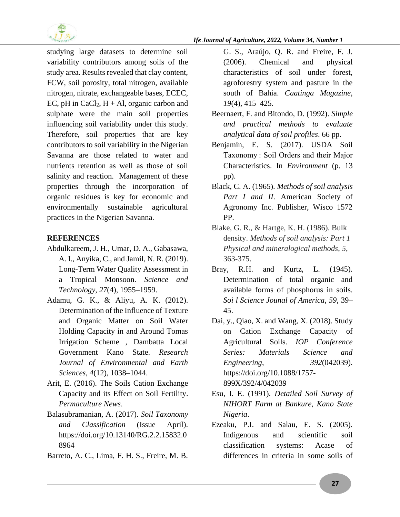

studying large datasets to determine soil variability contributors among soils of the study area. Results revealed that clay content, FCW, soil porosity, total nitrogen, available nitrogen, nitrate, exchangeable bases, ECEC, EC, pH in  $CaCl<sub>2</sub>$ , H + Al, organic carbon and sulphate were the main soil properties influencing soil variability under this study. Therefore, soil properties that are key contributors to soil variability in the Nigerian Savanna are those related to water and nutrients retention as well as those of soil salinity and reaction. Management of these properties through the incorporation of organic residues is key for economic and environmentally sustainable agricultural practices in the Nigerian Savanna.

# **REFERENCES**

- Abdulkareem, J. H., Umar, D. A., Gabasawa, A. I., Anyika, C., and Jamil, N. R. (2019). Long-Term Water Quality Assessment in a Tropical Monsoon. *Science and Technology*, *27*(4), 1955–1959.
- Adamu, G. K., & Aliyu, A. K. (2012). Determination of the Influence of Texture and Organic Matter on Soil Water Holding Capacity in and Around Tomas Irrigation Scheme , Dambatta Local Government Kano State. *Research Journal of Environmental and Earth Sciences*, *4*(12), 1038–1044.
- Arit, E. (2016). The Soils Cation Exchange Capacity and its Effect on Soil Fertility. *Permaculture News*.
- Balasubramanian, A. (2017). *Soil Taxonomy and Classification* (Issue April). https://doi.org/10.13140/RG.2.2.15832.0 8964
- Barreto, A. C., Lima, F. H. S., Freire, M. B.

G. S., Araújo, Q. R. and Freire, F. J. (2006). Chemical and physical characteristics of soil under forest, agroforestry system and pasture in the south of Bahia. *Caatinga Magazine*, *19*(4), 415–425.

- Beernaert, F. and Bitondo, D. (1992). *Simple and practical methods to evaluate analytical data of soil profiles*. 66 pp.
- Benjamin, E. S. (2017). USDA Soil Taxonomy : Soil Orders and their Major Characteristics. In *Environment* (p. 13 pp).
- Black, C. A. (1965). *Methods of soil analysis*  Part I and II. American Society of Agronomy Inc. Publisher, Wisco 1572 PP.
- Blake, G. R., & Hartge, K. H. (1986). Bulk density. *Methods of soil analysis: Part 1 Physical and mineralogical methods*, *5*, 363-375.
- Bray, R.H. and Kurtz, L. (1945). Determination of total organic and available forms of phosphorus in soils. *Soi l Science Jounal of America*, *59*, 39– 45.
- Dai, y., Qiao, X. and Wang, X. (2018). Study on Cation Exchange Capacity of Agricultural Soils. *IOP Conference Series: Materials Science and Engineering*, *392*(042039). https://doi.org/10.1088/1757- 899X/392/4/042039
- Esu, I. E. (1991). *Detailed Soil Survey of NIHORT Farm at Bankure, Kano State Nigeria*.
- Ezeaku, P.I. and Salau, E. S. (2005). Indigenous and scientific soil classification systems: Acase of differences in criteria in some soils of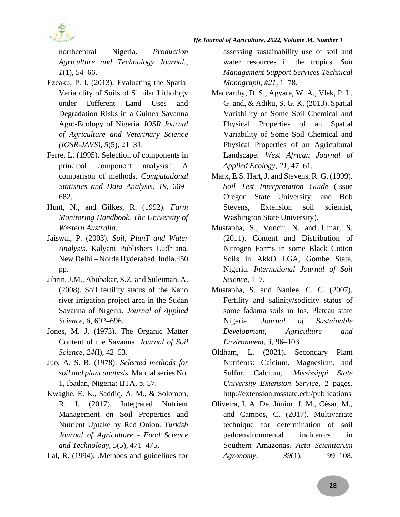

*Ife Journal of Agriculture, 2022, Volume 34, Number 1*

northcentral Nigeria. *Production Agriculture and Technology Journal.*, *1*(1), 54–66.

- Ezeaku, P. I. (2013). Evaluating the Spatial Variability of Soils of Similar Lithology under Different Land Uses and Degradation Risks in a Guinea Savanna Agro-Ecology of Nigeria. *IOSR Journal of Agriculture and Veterinary Science (IOSR-JAVS)*, *5*(5), 21–31.
- Ferre, L. (1995). Selection of components in principal component analysis : A comparison of methods. *Computational Statistics and Data Analysis*, *19*, 669– 682.
- Hunt, N., and Gilkes, R. (1992). *Farm Monitoring Handbook. The University of Western Australia*.
- Jaiswal, P. (2003). *Soil, PlanT and Water Analysis*. Kalyani Publishers Ludhiana, New Delhi – Norda Hyderabad, India.450 pp.
- Jibrin, J.M., Abubakar, S.Z. and Suleiman, A. (2008). Soil fertility status of the Kano river irrigation project area in the Sudan Savanna of Nigeria. *Journal of Applied Science*, *8*, 692–696.
- Jones, M. J. (1973). The Organic Matter Content of the Savanna. *Journal of Soil Science*, *24*(I), 42–53.
- Juo, A. S. R. (1978). *Selected methods for soil and plant analysis*. Manual series No. 1, Ibadan, Nigeria: IITA, p. 57.
- Kwaghe, E. K., Saddiq, A. M., & Solomon, R. I. (2017). Integrated Nutrient Management on Soil Properties and Nutrient Uptake by Red Onion. *Turkish Journal of Agriculture - Food Science and Technology*, *5*(5), 471–475.
- Lal, R. (1994). .Methods and guidelines for

assessing sustainability use of soil and water resources in the tropics. *Soil Management Support Services Technical Monograph*, *#21*, 1–78.

- Maccarthy, D. S., Agyare, W. A., Vlek, P. L. G. and, & Adiku, S. G. K. (2013). Spatial Variability of Some Soil Chemical and Physical Properties of an Spatial Variability of Some Soil Chemical and Physical Properties of an Agricultural Landscape. *West African Journal of Applied Ecology*, *21*, 47–61.
- Marx, E.S. Hart, J. and Stevens, R. G. (1999). *Soil Test Interpretation Guide* (Issue Oregon State University; and Bob Stevens, Extension soil scientist, Washington State University).
- Mustapha, S., Voncir, N. and Umar, S. (2011). Content and Distribution of Nitrogen Forms in some Black Cotton Soils in AkkO LGA, Gombe State, Nigeria. *International Journal of Soil Science*, 1–7.
- Mustapha, S. and Nanlee, C. C. (2007). Fertility and salinity/sodicity status of some fadama soils in Jos, Plateau state Nigeria. *Journal of Sustainable Development, Agriculture and Environment*, *3*, 96–103.
- Oldham, L. (2021). Secondary Plant Nutrients: Calcium, Magnesium, and Sulfur, Calcium,. *Mississippi State University Extension Service*, 2 pages. http://extension.msstate.edu/publications
- Oliveira, I. A. De, Júnior, J. M., César, M., and Campos, C. (2017). Multivariate technique for determination of soil pedoenvironmental indicators in Southern Amazonas. *Acta Scientiarum Agronomy*, *39*(1), 99–108.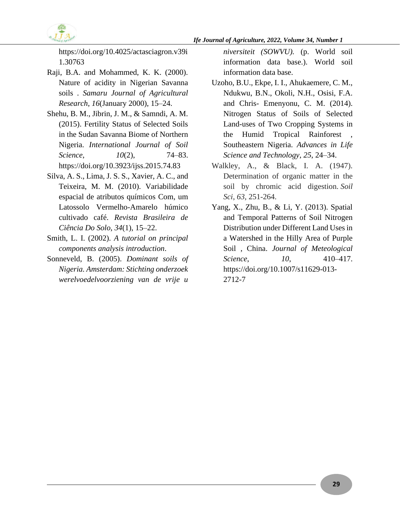

https://doi.org/10.4025/actasciagron.v39i 1.30763

- Raji, B.A. and Mohammed, K. K. (2000). Nature of acidity in Nigerian Savanna soils . *Samaru Journal of Agricultural Research*, *16*(January 2000), 15–24.
- Shehu, B. M., Jibrin, J. M., & Samndi, A. M. (2015). Fertility Status of Selected Soils in the Sudan Savanna Biome of Northern Nigeria. *International Journal of Soil Science*, *10*(2), 74–83. https://doi.org/10.3923/ijss.2015.74.83
- Silva, A. S., Lima, J. S. S., Xavier, A. C., and Teixeira, M. M. (2010). Variabilidade espacial de atributos químicos Com, um Latossolo Vermelho-Amarelo húmico cultivado café. *Revista Brasileira de Ciência Do Solo*, *34*(1), 15–22.
- Smith, L. I. (2002). *A tutorial on principal components analysis introduction*.
- Sonneveld, B. (2005). *Dominant soils of Nigeria. Amsterdam: Stichting onderzoek werelvoedelvoorziening van de vrije u*

*niversiteit (SOWVU).* (p. World soil information data base.). World soil information data base.

- Uzoho, B.U., Ekpe, I. I., Ahukaemere, C. M., Ndukwu, B.N., Okoli, N.H., Osisi, F.A. and Chris- Emenyonu, C. M. (2014). Nitrogen Status of Soils of Selected Land-uses of Two Cropping Systems in the Humid Tropical Rainforest Southeastern Nigeria. *Advances in Life Science and Technology*, *25*, 24–34.
- Walkley, A., & Black, I. A. (1947). Determination of organic matter in the soil by chromic acid digestion. *Soil Sci*, *63*, 251-264.
- Yang, X., Zhu, B., & Li, Y. (2013). Spatial and Temporal Patterns of Soil Nitrogen Distribution under Different Land Uses in a Watershed in the Hilly Area of Purple Soil , China. *Journal of Meteological Science*, *10*, 410–417. https://doi.org/10.1007/s11629-013- 2712-7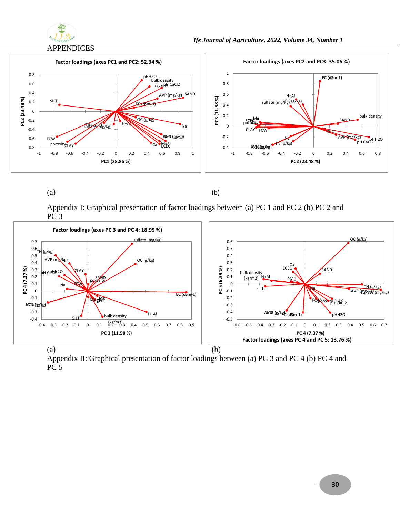

#### APPENDICES



 $(a)$  (b)

Appendix I: Graphical presentation of factor loadings between (a) PC 1 and PC 2 (b) PC 2 and PC 3



Appendix II: Graphical presentation of factor loadings between (a) PC 3 and PC 4 (b) PC 4 and PC 5